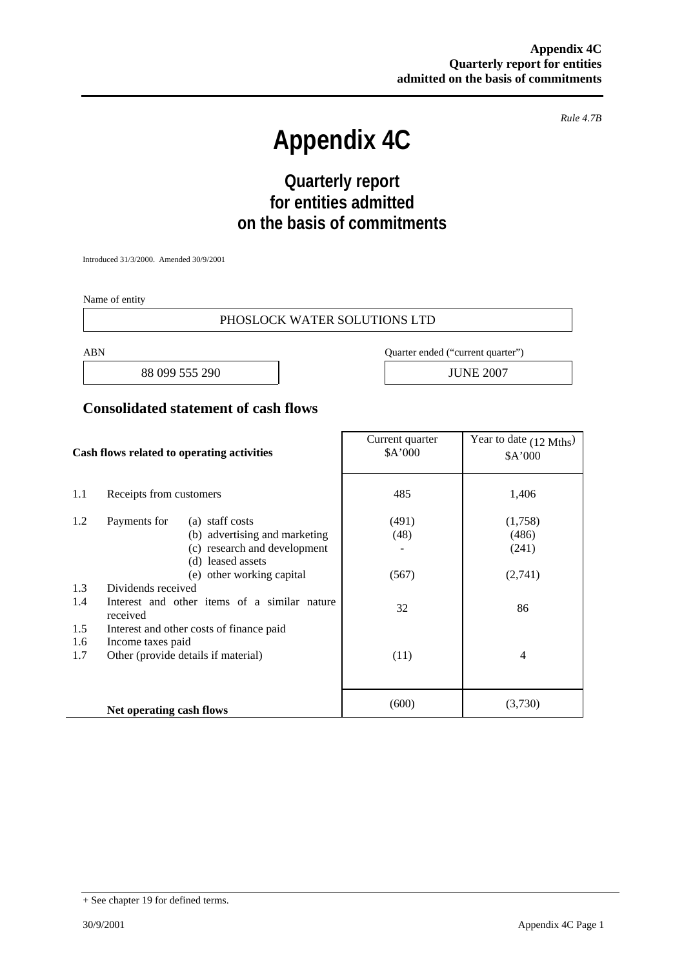*Rule 4.7B* 

# **Appendix 4C**

# **Quarterly report for entities admitted on the basis of commitments**

Introduced 31/3/2000. Amended 30/9/2001

Name of entity

#### PHOSLOCK WATER SOLUTIONS LTD

88 099 555 290 JUNE 2007

ABN Quarter ended ("current quarter")

#### **Consolidated statement of cash flows**

| Cash flows related to operating activities |                                                          | Current quarter<br>\$A'000 | Year to date (12 Mths)<br>\$A'000 |
|--------------------------------------------|----------------------------------------------------------|----------------------------|-----------------------------------|
| 1.1                                        | Receipts from customers                                  | 485                        | 1,406                             |
| 1.2                                        | Payments for<br>(a) staff costs                          | (491)                      | (1,758)                           |
|                                            | (b) advertising and marketing                            | (48)                       | (486)                             |
|                                            | (c) research and development                             |                            | (241)                             |
|                                            | (d) leased assets                                        |                            |                                   |
|                                            | (e) other working capital                                | (567)                      | (2,741)                           |
| 1.3                                        | Dividends received                                       |                            |                                   |
| 1.4                                        | Interest and other items of a similar nature<br>received | 32                         | 86                                |
| 1.5                                        | Interest and other costs of finance paid                 |                            |                                   |
| 1.6                                        | Income taxes paid                                        |                            |                                   |
| 1.7                                        | Other (provide details if material)                      | (11)                       | $\overline{4}$                    |
|                                            |                                                          |                            |                                   |
|                                            | Net operating cash flows                                 | (600)                      | (3,730)                           |

<sup>+</sup> See chapter 19 for defined terms.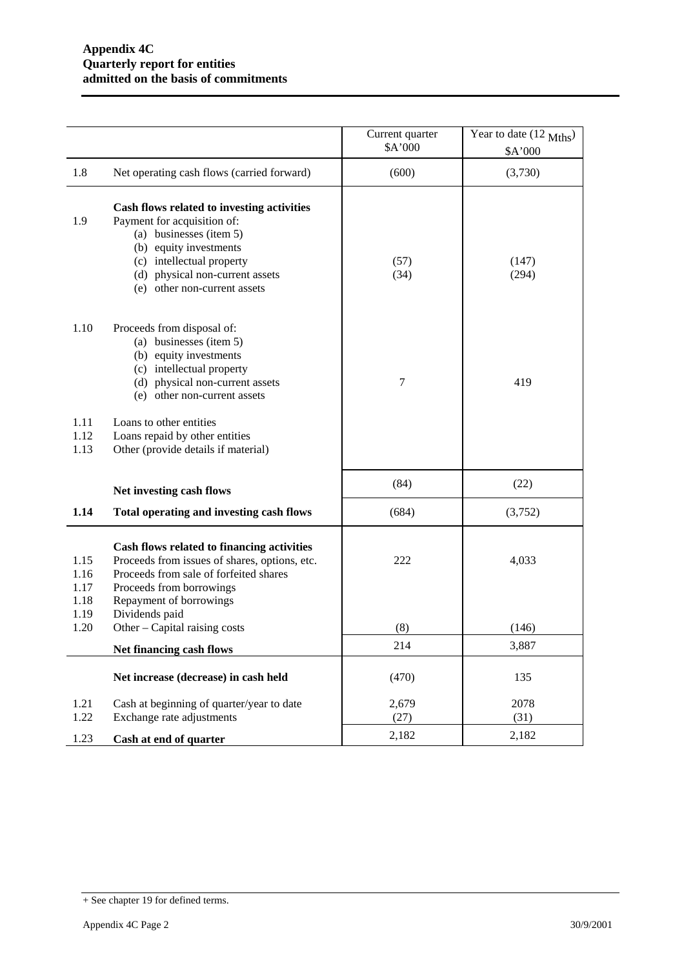|                              |                                                                                                                                                                                                                                   | Current quarter<br>\$A'000 | Year to date (12 Mths)<br>\$A'000 |
|------------------------------|-----------------------------------------------------------------------------------------------------------------------------------------------------------------------------------------------------------------------------------|----------------------------|-----------------------------------|
| 1.8                          | Net operating cash flows (carried forward)                                                                                                                                                                                        | (600)                      | (3,730)                           |
| 1.9                          | Cash flows related to investing activities<br>Payment for acquisition of:<br>(a) businesses (item 5)<br>(b) equity investments<br>(c) intellectual property<br>(d) physical non-current assets<br>other non-current assets<br>(e) | (57)<br>(34)               | (147)<br>(294)                    |
| 1.10                         | Proceeds from disposal of:<br>(a) businesses (item 5)<br>(b) equity investments<br>(c) intellectual property<br>(d) physical non-current assets<br>(e) other non-current assets                                                   | 7                          | 419                               |
| 1.11<br>1.12<br>1.13         | Loans to other entities<br>Loans repaid by other entities<br>Other (provide details if material)                                                                                                                                  |                            |                                   |
|                              | Net investing cash flows                                                                                                                                                                                                          | (84)                       | (22)                              |
| 1.14                         | Total operating and investing cash flows                                                                                                                                                                                          | (684)                      | (3,752)                           |
| 1.15<br>1.16<br>1.17<br>1.18 | Cash flows related to financing activities<br>Proceeds from issues of shares, options, etc.<br>Proceeds from sale of forfeited shares<br>Proceeds from borrowings<br>Repayment of borrowings                                      | 222                        | 4,033                             |
| 1.19<br>1.20                 | Dividends paid<br>Other – Capital raising costs                                                                                                                                                                                   | (8)                        | (146)                             |
|                              | Net financing cash flows                                                                                                                                                                                                          | 214                        | 3,887                             |
|                              | Net increase (decrease) in cash held                                                                                                                                                                                              | (470)                      | 135                               |
| 1.21<br>1.22                 | Cash at beginning of quarter/year to date<br>Exchange rate adjustments                                                                                                                                                            | 2,679<br>(27)              | 2078<br>(31)                      |
| 1.23                         | Cash at end of quarter                                                                                                                                                                                                            | 2,182                      | 2,182                             |

<sup>+</sup> See chapter 19 for defined terms.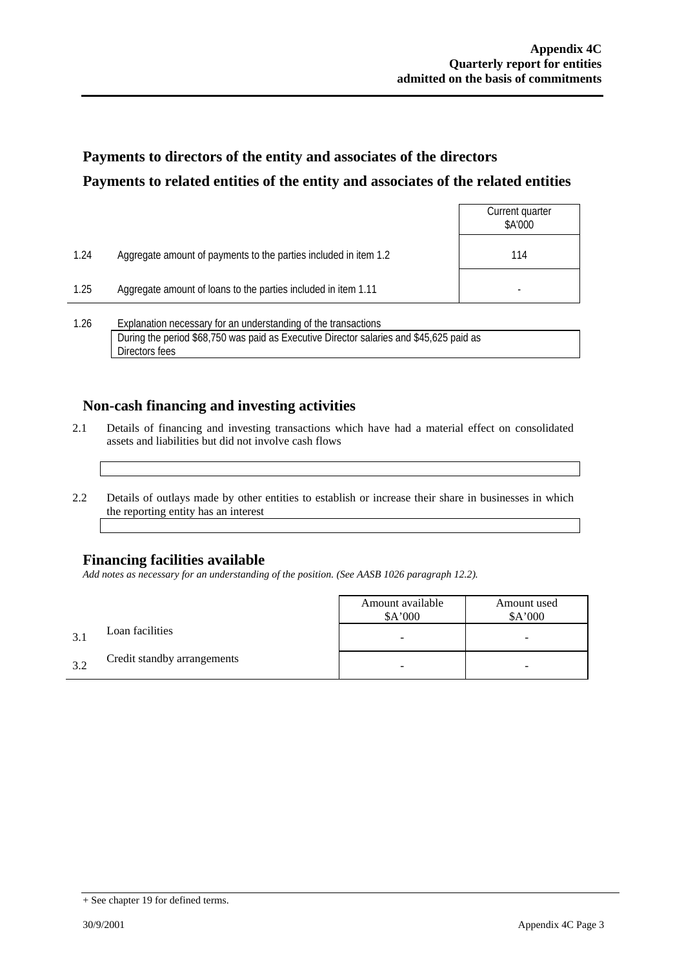## **Payments to directors of the entity and associates of the directors Payments to related entities of the entity and associates of the related entities**

|      |                                                                  | Current quarter<br>\$A'000 |
|------|------------------------------------------------------------------|----------------------------|
| 1.24 | Aggregate amount of payments to the parties included in item 1.2 | 114                        |
| 1.25 | Aggregate amount of loans to the parties included in item 1.11   |                            |
| 1.26 | Explanation necessary for an understanding of the transactions   |                            |

During the period \$68,750 was paid as Executive Director salaries and \$45,625 paid as Directors fees

### **Non-cash financing and investing activities**

- 2.1 Details of financing and investing transactions which have had a material effect on consolidated assets and liabilities but did not involve cash flows
- 2.2 Details of outlays made by other entities to establish or increase their share in businesses in which the reporting entity has an interest

### **Financing facilities available**

*Add notes as necessary for an understanding of the position. (See AASB 1026 paragraph 12.2).* 

|    |                             | Amount available<br>A'000 | Amount used<br>\$A'000 |
|----|-----------------------------|---------------------------|------------------------|
|    | Loan facilities             |                           | -                      |
| 32 | Credit standby arrangements |                           | -                      |

<sup>+</sup> See chapter 19 for defined terms.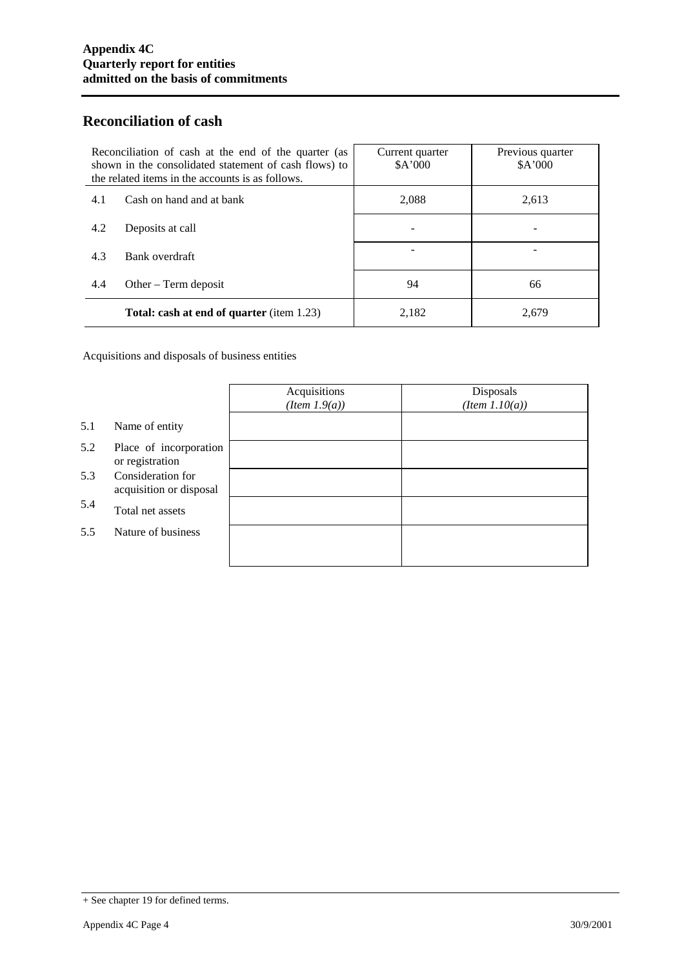### **Reconciliation of cash**

| Reconciliation of cash at the end of the quarter (as<br>shown in the consolidated statement of cash flows) to<br>the related items in the accounts is as follows. |                                                  | Current quarter<br>A'000 | Previous quarter<br>A'000 |
|-------------------------------------------------------------------------------------------------------------------------------------------------------------------|--------------------------------------------------|--------------------------|---------------------------|
| 4.1                                                                                                                                                               | Cash on hand and at bank                         | 2,088                    | 2,613                     |
| 4.2                                                                                                                                                               | Deposits at call                                 |                          |                           |
| 4.3                                                                                                                                                               | Bank overdraft                                   |                          |                           |
| 4.4                                                                                                                                                               | Other $-$ Term deposit                           | 94                       | 66                        |
|                                                                                                                                                                   | <b>Total: cash at end of quarter</b> (item 1.23) | 2,182                    | 2.679                     |

Acquisitions and disposals of business entities

|     |                                              | Acquisitions<br>$(Item\ 1.9(a))$ | Disposals<br>$(Item\ 1.10(a))$ |
|-----|----------------------------------------------|----------------------------------|--------------------------------|
| 5.1 | Name of entity                               |                                  |                                |
| 5.2 | Place of incorporation<br>or registration    |                                  |                                |
| 5.3 | Consideration for<br>acquisition or disposal |                                  |                                |
| 5.4 | Total net assets                             |                                  |                                |
| 5.5 | Nature of business                           |                                  |                                |
|     |                                              |                                  |                                |

<sup>+</sup> See chapter 19 for defined terms.